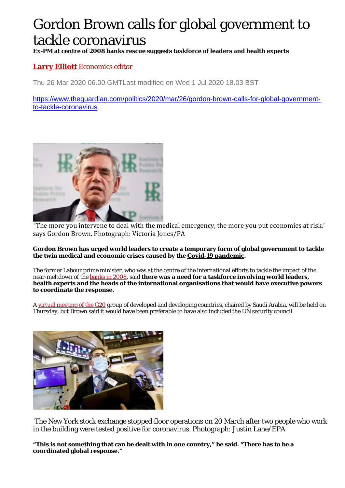## Gordon Brown calls for global government to tackle coronavirus

**Ex-PM at centre of 2008 banks rescue suggests taskforce of leaders and health experts** 

## **Larry Elliott** *Economics editor*

Thu 26 Mar 2020 06.00 GMTLast modified on Wed 1 Jul 2020 18.03 BST

https://www.theguardian.com/politics/2020/mar/26/gordon-brown-calls-for-global-governmentto-tackle-coronavirus



 'The more you intervene to deal with the medical emergency, the more you put economies at risk,' says Gordon Brown. Photograph: Victoria Jones/PA

## **Gordon Brown has urged world leaders to create a temporary form of global government to tackle the twin medical and economic crises caused by the Covid-19 pandemic.**

The former Labour prime minister, who was at the centre of the international efforts to tackle the impact of the near-meltdown of the banks in 2008, said **there was a need for a taskforce involving world leaders, health experts and the heads of the international organisations that would have executive powers to coordinate the response.** 

A virtual meeting of the G20 group of developed and developing countries, chaired by Saudi Arabia, will be held on Thursday, but Brown said it would have been preferable to have also included the UN security council.



 The New York stock exchange stopped floor operations on 20 March after two people who work in the building were tested positive for coronavirus. Photograph: Justin Lane/EPA

**"This is not something that can be dealt with in one country," he said. "There has to be a coordinated global response."**